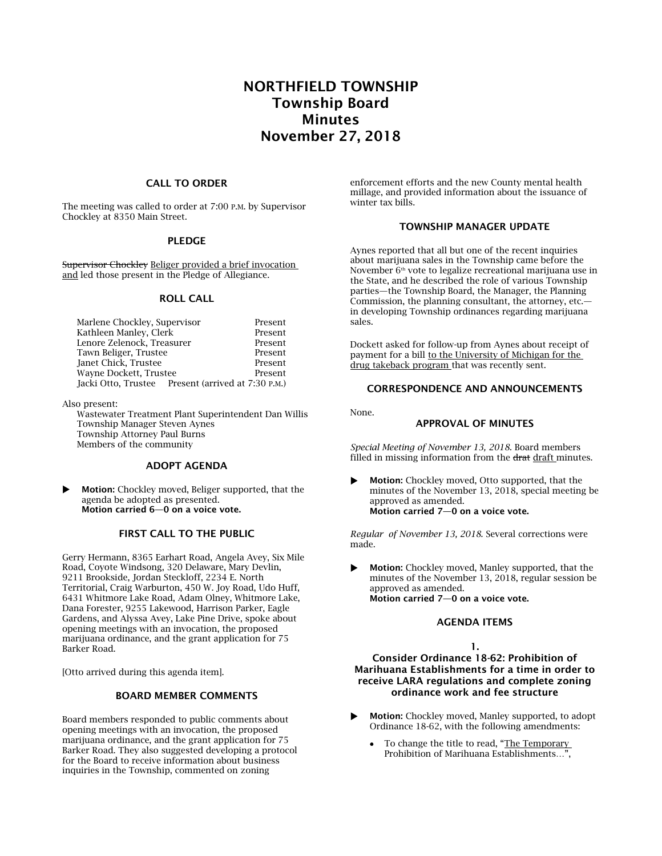# NORTHFIELD TOWNSHIP Township Board Minutes November 27, 2018

#### CALL TO ORDER

The meeting was called to order at 7:00 P.M. by Supervisor Chockley at 8350 Main Street.

## PLEDGE

Supervisor Chockley Beliger provided a brief invocation and led those present in the Pledge of Allegiance.

#### ROLL CALL

| Marlene Chockley, Supervisor                       | Present |
|----------------------------------------------------|---------|
| Kathleen Manley, Clerk                             | Present |
| Lenore Zelenock, Treasurer                         | Present |
| Tawn Beliger, Trustee                              | Present |
| Janet Chick, Trustee                               | Present |
| Wayne Dockett, Trustee                             | Present |
| Jacki Otto, Trustee Present (arrived at 7:30 P.M.) |         |

Also present:

Wastewater Treatment Plant Superintendent Dan Willis Township Manager Steven Aynes Township Attorney Paul Burns Members of the community

## ADOPT AGENDA

**Motion:** Chockley moved, Beliger supported, that the agenda be adopted as presented. Motion carried 6—0 on a voice vote.

# FIRST CALL TO THE PUBLIC

Gerry Hermann, 8365 Earhart Road, Angela Avey, Six Mile Road, Coyote Windsong, 320 Delaware, Mary Devlin, 9211 Brookside, Jordan Steckloff, 2234 E. North Territorial, Craig Warburton, 450 W. Joy Road, Udo Huff, 6431 Whitmore Lake Road, Adam Olney, Whitmore Lake, Dana Forester, 9255 Lakewood, Harrison Parker, Eagle Gardens, and Alyssa Avey, Lake Pine Drive, spoke about opening meetings with an invocation, the proposed marijuana ordinance, and the grant application for 75 Barker Road.

[Otto arrived during this agenda item].

#### BOARD MEMBER COMMENTS

Board members responded to public comments about opening meetings with an invocation, the proposed marijuana ordinance, and the grant application for 75 Barker Road. They also suggested developing a protocol for the Board to receive information about business inquiries in the Township, commented on zoning

enforcement efforts and the new County mental health millage, and provided information about the issuance of winter tax bills.

## TOWNSHIP MANAGER UPDATE

Aynes reported that all but one of the recent inquiries about marijuana sales in the Township came before the November  $6<sup>th</sup>$  vote to legalize recreational marijuana use in the State, and he described the role of various Township parties—the Township Board, the Manager, the Planning Commission, the planning consultant, the attorney, etc. in developing Township ordinances regarding marijuana sales.

Dockett asked for follow-up from Aynes about receipt of payment for a bill to the University of Michigan for the drug takeback program that was recently sent.

## CORRESPONDENCE AND ANNOUNCEMENTS

None.

# APPROVAL OF MINUTES

*Special Meeting of November 13, 2018.* Board members filled in missing information from the drat draft minutes.

 Motion: Chockley moved, Otto supported, that the minutes of the November 13, 2018, special meeting be approved as amended. Motion carried 7—0 on a voice vote.

*Regular of November 13, 2018.* Several corrections were made.

 Motion: Chockley moved, Manley supported, that the minutes of the November 13, 2018, regular session be approved as amended. Motion carried 7—0 on a voice vote.

#### AGENDA ITEMS

#### 1.

Consider Ordinance 18-62: Prohibition of Marihuana Establishments for a time in order to receive LARA regulations and complete zoning ordinance work and fee structure

- Motion: Chockley moved, Manley supported, to adopt Ordinance 18-62, with the following amendments:
	- To change the title to read, "The Temporary Prohibition of Marihuana Establishments…",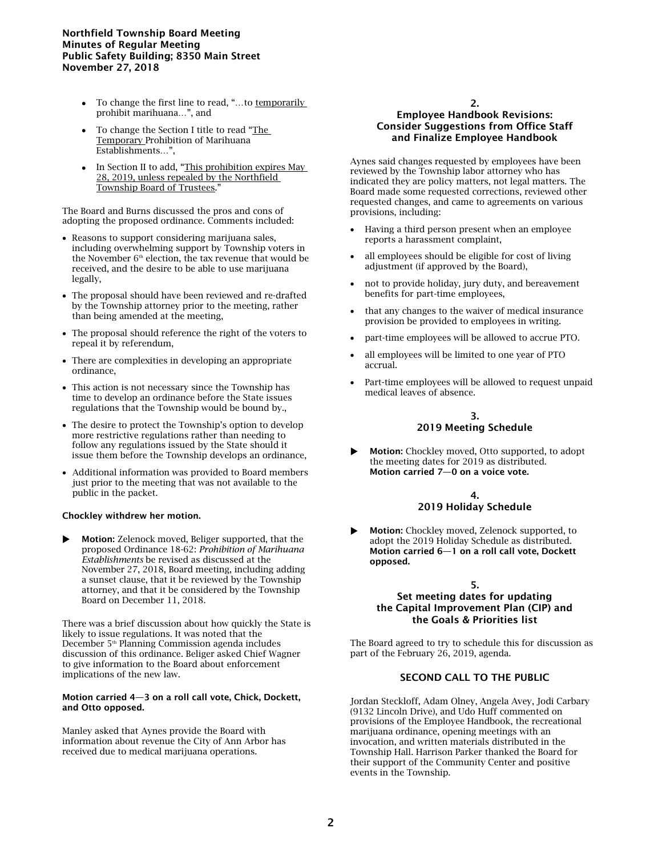## Northfield Township Board Meeting Minutes of Regular Meeting Public Safety Building; 8350 Main Street November 27, 2018

- To change the first line to read, "…to temporarily prohibit marihuana…", and
- To change the Section I title to read "The Temporary Prohibition of Marihuana Establishments…",
- In Section II to add, "This prohibition expires May 28, 2019, unless repealed by the Northfield Township Board of Trustees."

The Board and Burns discussed the pros and cons of adopting the proposed ordinance. Comments included:

- Reasons to support considering marijuana sales, including overwhelming support by Township voters in the November  $6<sup>th</sup>$  election, the tax revenue that would be received, and the desire to be able to use marijuana legally,
- The proposal should have been reviewed and re-drafted by the Township attorney prior to the meeting, rather than being amended at the meeting,
- The proposal should reference the right of the voters to repeal it by referendum,
- There are complexities in developing an appropriate ordinance,
- This action is not necessary since the Township has time to develop an ordinance before the State issues regulations that the Township would be bound by.,
- The desire to protect the Township's option to develop more restrictive regulations rather than needing to follow any regulations issued by the State should it issue them before the Township develops an ordinance,
- Additional information was provided to Board members just prior to the meeting that was not available to the public in the packet.

#### Chockley withdrew her motion.

 Motion: Zelenock moved, Beliger supported, that the proposed Ordinance 18-62: *Prohibition of Marihuana Establishments* be revised as discussed at the November 27, 2018, Board meeting, including adding a sunset clause, that it be reviewed by the Township attorney, and that it be considered by the Township Board on December 11, 2018.

There was a brief discussion about how quickly the State is likely to issue regulations. It was noted that the December 5 th Planning Commission agenda includes discussion of this ordinance. Beliger asked Chief Wagner to give information to the Board about enforcement implications of the new law.

#### Motion carried 4—3 on a roll call vote, Chick, Dockett, and Otto opposed.

Manley asked that Aynes provide the Board with information about revenue the City of Ann Arbor has received due to medical marijuana operations.

## 2. Employee Handbook Revisions: Consider Suggestions from Office Staff and Finalize Employee Handbook

Aynes said changes requested by employees have been reviewed by the Township labor attorney who has indicated they are policy matters, not legal matters. The Board made some requested corrections, reviewed other requested changes, and came to agreements on various provisions, including:

- Having a third person present when an employee reports a harassment complaint,
- all employees should be eligible for cost of living adjustment (if approved by the Board),
- not to provide holiday, jury duty, and bereavement benefits for part-time employees,
- that any changes to the waiver of medical insurance provision be provided to employees in writing.
- part-time employees will be allowed to accrue PTO.
- all employees will be limited to one year of PTO accrual.
- Part-time employees will be allowed to request unpaid medical leaves of absence.

# 3. 2019 Meeting Schedule

 Motion: Chockley moved, Otto supported, to adopt the meeting dates for 2019 as distributed. Motion carried 7—0 on a voice vote.

#### 4. 2019 Holiday Schedule

 Motion: Chockley moved, Zelenock supported, to adopt the 2019 Holiday Schedule as distributed. Motion carried 6—1 on a roll call vote, Dockett opposed.

## 5.

## Set meeting dates for updating the Capital Improvement Plan (CIP) and the Goals & Priorities list

The Board agreed to try to schedule this for discussion as part of the February 26, 2019, agenda.

# SECOND CALL TO THE PUBLIC

Jordan Steckloff, Adam Olney, Angela Avey, Jodi Carbary (9132 Lincoln Drive), and Udo Huff commented on provisions of the Employee Handbook, the recreational marijuana ordinance, opening meetings with an invocation, and written materials distributed in the Township Hall. Harrison Parker thanked the Board for their support of the Community Center and positive events in the Township.